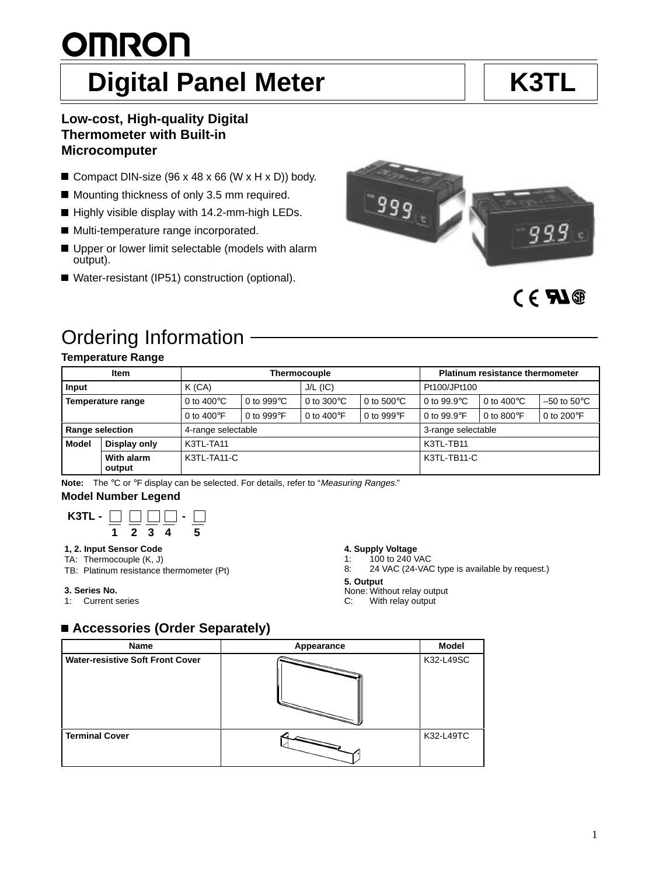#### 1

# **OMRON** Digital Panel Meter **K3TL**

## **Low-cost, High-quality Digital Thermometer with Built-in Microcomputer**

- Compact DIN-size (96 x 48 x 66 (W x H x D)) body.
- Mounting thickness of only 3.5 mm required.
- Highly visible display with 14.2-mm-high LEDs.
- Multi-temperature range incorporated.
- Upper or lower limit selectable (models with alarm output).
- Water-resistant (IP51) construction (optional).

# CE **FIG**

999<sub>LL</sub>

# Ordering Information

## **Temperature Range**

|                        | Item                 | <b>Thermocouple</b>   |                      |                               |                      | <b>Platinum resistance thermometer</b> |                               |                               |
|------------------------|----------------------|-----------------------|----------------------|-------------------------------|----------------------|----------------------------------------|-------------------------------|-------------------------------|
| Input                  |                      | K(CA)                 |                      | $J/L$ (IC)                    |                      | Pt100/JPt100                           |                               |                               |
| Temperature range      |                      | 0 to 400 $^{\circ}$ C | 0 to 999 $\degree$ C | 0 to 300 $\mathrm{^{\circ}C}$ | 0 to $500^{\circ}$ C | 0 to 99.9 $\degree$ C                  | 0 to 400 $\mathrm{^{\circ}C}$ | $-50$ to $50^{\circ}$ C       |
|                        |                      | 0 to 400 $\degree$ F  | 0 to 999 $\degree$ F | 0 to 400 $\degree$ F          | 0 to 999 $\degree$ F | 0 to $99.9^{\circ}$ F                  | 0 to 800 $\degree$ F          | 0 to 200 $\mathrm{^{\circ}F}$ |
| <b>Range selection</b> |                      | 4-range selectable    |                      |                               |                      | 3-range selectable                     |                               |                               |
| <b>Model</b>           | Display only         | K3TL-TA11             |                      |                               |                      | K3TL-TB11                              |                               |                               |
|                        | With alarm<br>output | K3TL-TA11-C           |                      |                               |                      | K3TL-TB11-C                            |                               |                               |

Note: The °C or °F display can be selected. For details, refer to "Measuring Ranges."

#### **Model Number Legend**



## **1, 2. Input Sensor Code**

- TA: Thermocouple (K, J)
- TB: Platinum resistance thermometer (Pt)

#### **3. Series No.**

1: Current series

## **4. Supply Voltage**

- 1: 100 to 240 VAC
- 8: 24 VAC (24-VAC type is available by request.)
- **5. Output**
- None: Without relay output<br>C: With relay output
- With relay output

## **Accessories (Order Separately)**

| Name                                    | Appearance                                                                                                                           | <b>Model</b> |
|-----------------------------------------|--------------------------------------------------------------------------------------------------------------------------------------|--------------|
| <b>Water-resistive Soft Front Cover</b> | <b>Contract of the Contract of the Contract of the Contract of the Contract of the Contract of the Contract of the Contract of T</b> | K32-L49SC    |
| <b>Terminal Cover</b>                   |                                                                                                                                      | K32-L49TC    |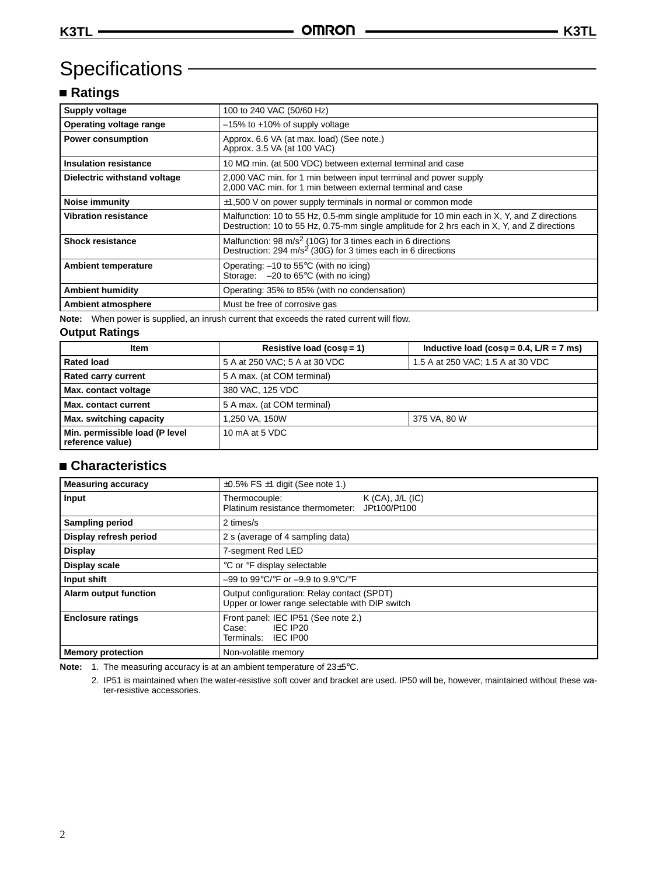# Specifications -

## **Ratings**

| <b>Supply voltage</b>        | 100 to 240 VAC (50/60 Hz)                                                                                                                                                                  |
|------------------------------|--------------------------------------------------------------------------------------------------------------------------------------------------------------------------------------------|
| Operating voltage range      | $-15\%$ to $+10\%$ of supply voltage                                                                                                                                                       |
| <b>Power consumption</b>     | Approx. 6.6 VA (at max. load) (See note.)<br>Approx. 3.5 VA (at 100 VAC)                                                                                                                   |
| <b>Insulation resistance</b> | 10 $\text{M}\Omega$ min. (at 500 VDC) between external terminal and case                                                                                                                   |
| Dielectric withstand voltage | 2,000 VAC min. for 1 min between input terminal and power supply<br>2,000 VAC min. for 1 min between external terminal and case                                                            |
| Noise immunity               | $\pm$ 1,500 V on power supply terminals in normal or common mode                                                                                                                           |
| <b>Vibration resistance</b>  | Malfunction: 10 to 55 Hz, 0.5-mm single amplitude for 10 min each in X, Y, and Z directions<br>Destruction: 10 to 55 Hz, 0.75-mm single amplitude for 2 hrs each in X, Y, and Z directions |
| <b>Shock resistance</b>      | Malfunction: 98 $m/s2$ (10G) for 3 times each in 6 directions<br>Destruction: 294 m/s <sup>2</sup> (30G) for 3 times each in 6 directions                                                  |
| <b>Ambient temperature</b>   | Operating: $-10$ to 55 $\degree$ C (with no icing)<br>Storage: $-20$ to 65 $\degree$ C (with no icing)                                                                                     |
| <b>Ambient humidity</b>      | Operating: 35% to 85% (with no condensation)                                                                                                                                               |
| Ambient atmosphere           | Must be free of corrosive gas                                                                                                                                                              |

**Note:** When power is supplied, an inrush current that exceeds the rated current will flow.

## **Output Ratings**

| Item                                               | Resistive load ( $cos\phi = 1$ )                                   | Inductive load ( $cos\phi = 0.4$ , $L/R = 7$ ms) |  |  |
|----------------------------------------------------|--------------------------------------------------------------------|--------------------------------------------------|--|--|
| <b>Rated load</b>                                  | 5 A at 250 VAC; 5 A at 30 VDC<br>1.5 A at 250 VAC; 1.5 A at 30 VDC |                                                  |  |  |
| <b>Rated carry current</b>                         | 5 A max. (at COM terminal)                                         |                                                  |  |  |
| Max. contact voltage                               | 380 VAC, 125 VDC                                                   |                                                  |  |  |
| <b>Max. contact current</b>                        | 5 A max. (at COM terminal)                                         |                                                  |  |  |
| Max. switching capacity                            | 375 VA, 80 W<br>1,250 VA, 150W                                     |                                                  |  |  |
| Min. permissible load (P level<br>reference value) | 10 mA at 5 VDC                                                     |                                                  |  |  |

## **Characteristics**

| <b>Measuring accuracy</b>    | $\pm 0.5\%$ FS $\pm 1$ digit (See note 1.)                                                    |
|------------------------------|-----------------------------------------------------------------------------------------------|
| Input                        | $K$ (CA), $J/L$ (IC)<br>Thermocouple:<br>Platinum resistance thermometer: JPt100/Pt100        |
| <b>Sampling period</b>       | 2 times/s                                                                                     |
| Display refresh period       | 2 s (average of 4 sampling data)                                                              |
| <b>Display</b>               | 7-segment Red LED                                                                             |
| Display scale                | °C or °F display selectable                                                                   |
| Input shift                  | $-99$ to $99^{\circ}$ C/ $\circ$ F or $-9.9$ to $9.9^{\circ}$ C/ $\circ$ F                    |
| <b>Alarm output function</b> | Output configuration: Relay contact (SPDT)<br>Upper or lower range selectable with DIP switch |
| <b>Enclosure ratings</b>     | Front panel: IEC IP51 (See note 2.)<br>IEC IP20<br>Case:<br>Terminals: IEC IP00               |
| <b>Memory protection</b>     | Non-volatile memory                                                                           |

**Note:** 1. The measuring accuracy is at an ambient temperature of 23±5°C.

2. IP51 is maintained when the water-resistive soft cover and bracket are used. IP50 will be, however, maintained without these water-resistive accessories.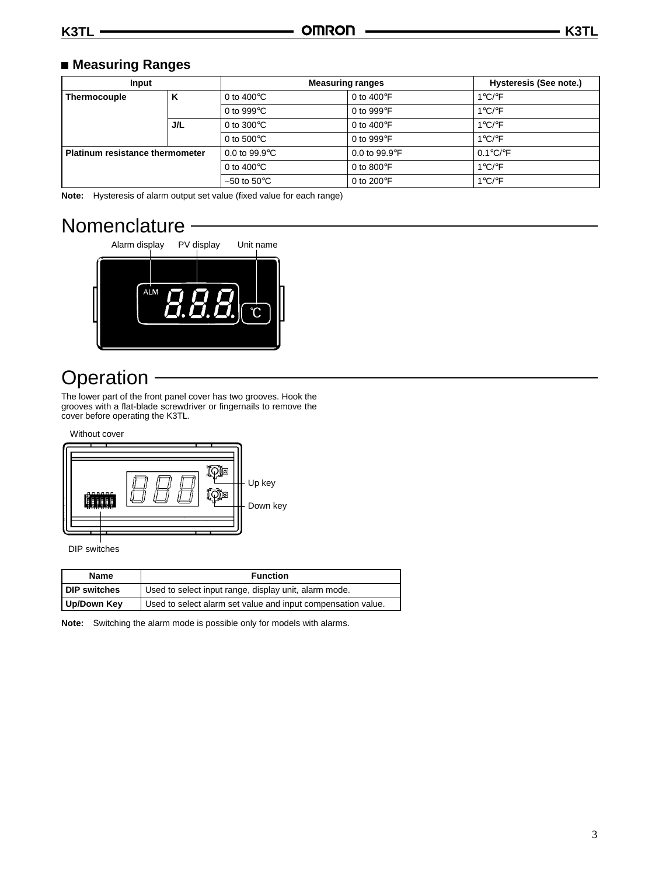## **Measuring Ranges**

| Input                                  |     | <b>Measuring ranges</b>       |                                  | Hysteresis (See note.)     |
|----------------------------------------|-----|-------------------------------|----------------------------------|----------------------------|
| ĸ<br><b>Thermocouple</b>               |     | 0 to 400 $\mathrm{^{\circ}C}$ | 0 to 400 $\degree$ F             | 1°C/ $\degree$ F           |
|                                        |     | 0 to 999 $\degree$ C          | 0 to 999 $\degree$ F             | $1^{\circ}$ C/ $\circ$ F   |
|                                        | J/L | 0 to $300^{\circ}$ C          | 0 to $400^{\circ}$ F             | $1^{\circ}$ C/ $\circ$ F   |
|                                        |     | 0 to $500^{\circ}$ C          | 0 to 999 $\degree$ F             | $1^{\circ}$ C/ $\circ$ F   |
| <b>Platinum resistance thermometer</b> |     | 0.0 to $99.9^{\circ}$ C       | 0.0 to 99.9 $\mathrm{^{\circ}F}$ | $0.1^{\circ}$ C/ $\circ$ F |
|                                        |     | 0 to $400^{\circ}$ C          | 0 to 800 $\degree$ F             | $1^{\circ}$ C/ $\circ$ F   |
|                                        |     | $-50$ to $50^{\circ}$ C       | 0 to 200 $\mathrm{^{\circ}F}$    | $1^{\circ}$ C/ $\circ$ F   |

**Note:** Hysteresis of alarm output set value (fixed value for each range)

# Nomenclature



# **Operation**

The lower part of the front panel cover has two grooves. Hook the grooves with a flat-blade screwdriver or fingernails to remove the cover before operating the K3TL.

Without cover



DIP switches

| <b>Function</b><br><b>Name</b> |                                                              |
|--------------------------------|--------------------------------------------------------------|
| <b>I DIP switches</b>          | Used to select input range, display unit, alarm mode.        |
| Up/Down Key                    | Used to select alarm set value and input compensation value. |

**Note:** Switching the alarm mode is possible only for models with alarms.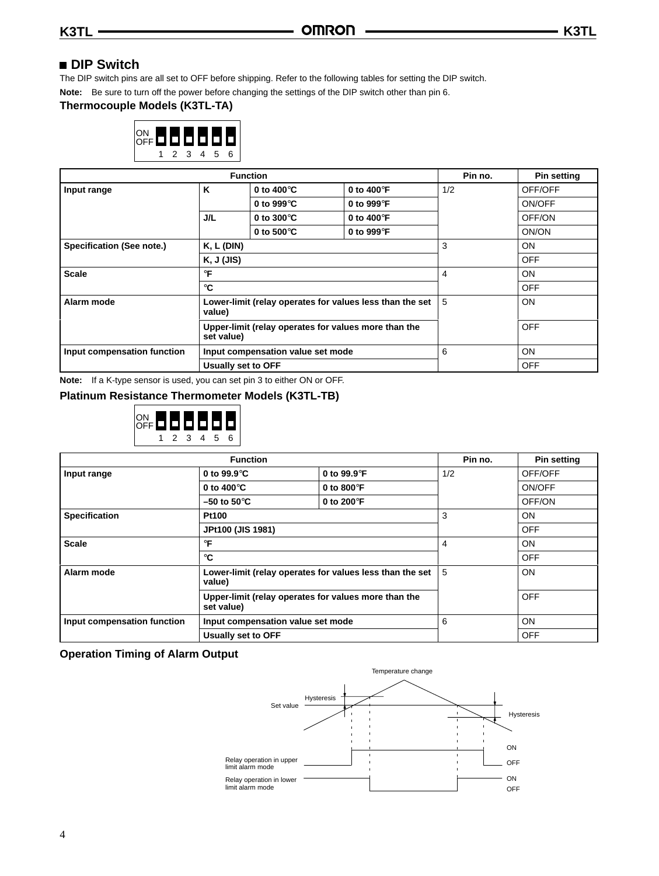## **DIP Switch**

The DIP switch pins are all set to OFF before shipping. Refer to the following tables for setting the DIP switch.

**Note:** Be sure to turn off the power before changing the settings of the DIP switch other than pin 6.

## **Thermocouple Models (K3TL-TA)**



| <b>Function</b>                                                    |                                                                    |                                   |                      | Pin no. | <b>Pin setting</b> |
|--------------------------------------------------------------------|--------------------------------------------------------------------|-----------------------------------|----------------------|---------|--------------------|
| Input range                                                        | K                                                                  | 0 to 400 $\degree$ C              | 0 to 400 $\degree$ F | 1/2     | OFF/OFF            |
|                                                                    |                                                                    | 0 to 999 $\degree$ C              | 0 to 999°F           |         | ON/OFF             |
|                                                                    | J/L                                                                | 0 to 300 $\degree$ C              | 0 to 400 $\degree$ F |         | OFF/ON             |
|                                                                    |                                                                    | 0 to 500 $\degree$ C              | 0 to 999°F           |         | ON/ON              |
| Specification (See note.)                                          | $K, L$ (DIN)                                                       |                                   |                      | 3       | <b>ON</b>          |
|                                                                    | K, J (JIS)                                                         |                                   |                      |         | <b>OFF</b>         |
| <b>Scale</b>                                                       | $\circ$ F                                                          |                                   | 4                    | ON      |                    |
| $\circ$ C                                                          |                                                                    |                                   | <b>OFF</b>           |         |                    |
| Alarm mode                                                         | Lower-limit (relay operates for values less than the set<br>value) |                                   | 5                    | ON      |                    |
| Upper-limit (relay operates for values more than the<br>set value) |                                                                    |                                   | <b>OFF</b>           |         |                    |
| Input compensation function                                        |                                                                    | Input compensation value set mode |                      | 6       | ON                 |
|                                                                    | <b>Usually set to OFF</b>                                          |                                   |                      |         | <b>OFF</b>         |

**Note:** If a K-type sensor is used, you can set pin 3 to either ON or OFF.

#### **Platinum Resistance Thermometer Models (K3TL-TB)**



| <b>Function</b>             |                                                                    |                               | Pin no. | <b>Pin setting</b> |
|-----------------------------|--------------------------------------------------------------------|-------------------------------|---------|--------------------|
| Input range                 | 0 to $99.9^{\circ}$ C                                              | 0 to $99.9^{\circ}$ F         | 1/2     | OFF/OFF            |
|                             | 0 to 400 $\degree$ C                                               | 0 to 800 $\degree$ F          |         | ON/OFF             |
|                             | $-50$ to $50^{\circ}$ C                                            | 0 to 200 $\mathrm{^{\circ}F}$ |         | OFF/ON             |
| <b>Specification</b>        | Pt100                                                              |                               | 3       | <b>ON</b>          |
|                             | JPt100 (JIS 1981)                                                  |                               |         | <b>OFF</b>         |
| <b>Scale</b>                | °F                                                                 |                               | 4       | ON                 |
|                             | $^{\circ}$ C                                                       |                               |         | <b>OFF</b>         |
| Alarm mode                  | Lower-limit (relay operates for values less than the set<br>value) |                               | 5       | ON                 |
|                             | Upper-limit (relay operates for values more than the<br>set value) |                               |         | <b>OFF</b>         |
| Input compensation function | Input compensation value set mode                                  |                               | 6       | ON                 |
|                             | Usually set to OFF                                                 |                               |         | <b>OFF</b>         |

#### **Operation Timing of Alarm Output**

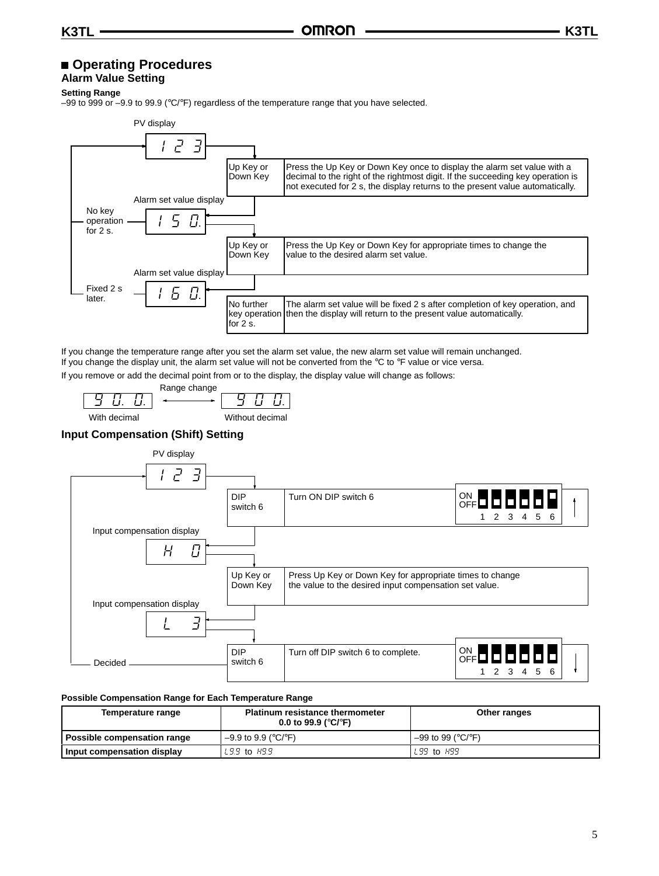## **Operating Procedures**

## **Alarm Value Setting**

**Setting Range**

–99 to 999 or –9.9 to 99.9 (°C/°F) regardless of the temperature range that you have selected.



If you change the temperature range after you set the alarm set value, the new alarm set value will remain unchanged. If you change the display unit, the alarm set value will not be converted from the  $\degree$ C to  $\degree$ F value or vice versa.

If you remove or add the decimal point from or to the display, the display value will change as follows:



#### **Input Compensation (Shift) Setting**



#### **Possible Compensation Range for Each Temperature Range**

| <b>Platinum resistance thermometer</b><br>Temperature range<br>0.0 to 99.9 ( $^{\circ}$ C/ $^{\circ}$ F) |                       | Other ranges        |  |
|----------------------------------------------------------------------------------------------------------|-----------------------|---------------------|--|
| Possible compensation range                                                                              | $-9.9$ to 9.9 (°C/°F) | $-99$ to 99 (°C/°F) |  |
| I Input compensation display                                                                             | $L9.9$ to $H9.9$      | $L99$ to $H99$      |  |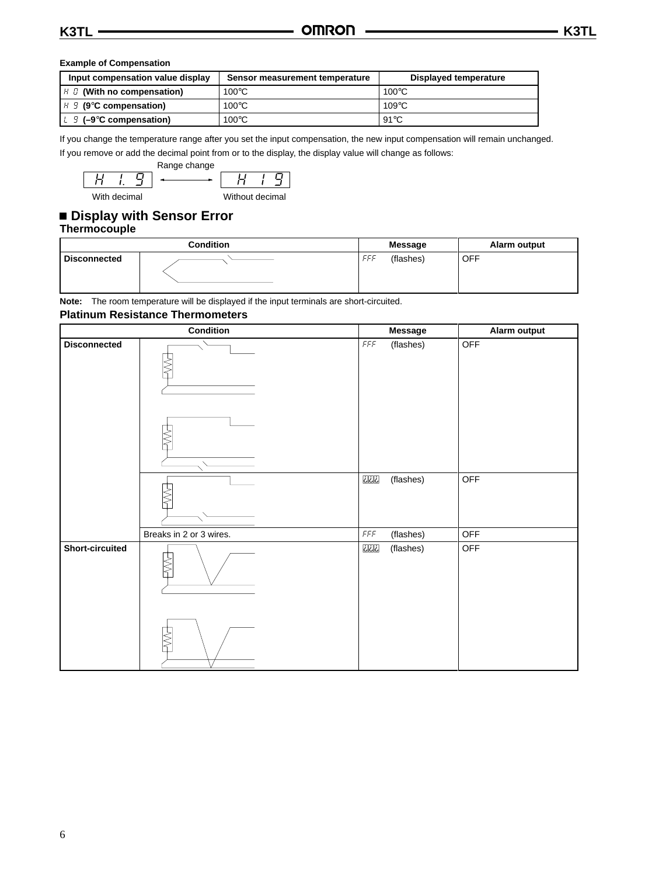#### **Example of Compensation**

| Input compensation value display                  | Sensor measurement temperature | Displayed temperature |  |
|---------------------------------------------------|--------------------------------|-----------------------|--|
| $H \cup$ (With no compensation)                   | $100^{\circ}$ C                | $100^{\circ}$ C       |  |
| $H \mathcal{G}$ (9°C compensation)                | $100^{\circ}$ C                | $109^{\circ}$ C       |  |
| $\lfloor \frac{1}{2} \rfloor$ (-9°C compensation) | $100^{\circ}$ C                | $91^{\circ}$ C        |  |

If you change the temperature range after you set the input compensation, the new input compensation will remain unchanged. If you remove or add the decimal point from or to the display, the display value will change as follows:



## **Display with Sensor Error Thermocouple**

|                     | <b>Condition</b> | <b>Message</b>   | Alarm output |
|---------------------|------------------|------------------|--------------|
| <b>Disconnected</b> |                  | (flashes)<br>FFF | <b>OFF</b>   |

**Note:** The room temperature will be displayed if the input terminals are short-circuited.

#### **Platinum Resistance Thermometers**

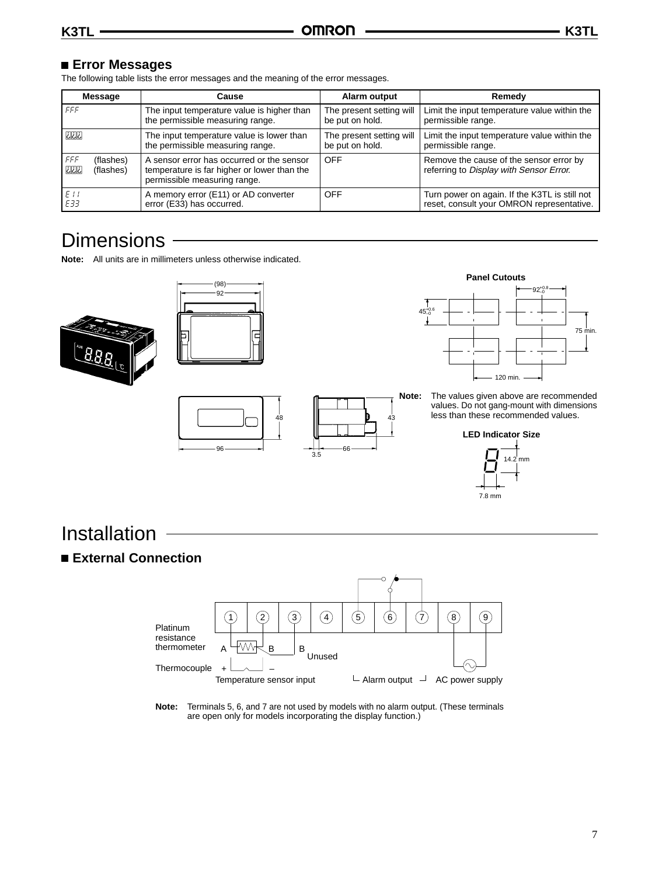## **Error Messages**

The following table lists the error messages and the meaning of the error messages.

| <b>Message</b>                                | Cause                                                                                                                    | Alarm output             | Remedy                                                                             |
|-----------------------------------------------|--------------------------------------------------------------------------------------------------------------------------|--------------------------|------------------------------------------------------------------------------------|
| FFF                                           | The input temperature value is higher than                                                                               | The present setting will | Limit the input temperature value within the                                       |
|                                               | the permissible measuring range.                                                                                         | be put on hold.          | permissible range.                                                                 |
| أذاذاذا                                       | The input temperature value is lower than                                                                                | The present setting will | Limit the input temperature value within the                                       |
|                                               | the permissible measuring range.                                                                                         | be put on hold.          | permissible range.                                                                 |
| FFF<br>(flashes)<br><u>ت تات</u><br>(flashes) | A sensor error has occurred or the sensor<br>temperature is far higher or lower than the<br>permissible measuring range. | <b>OFF</b>               | Remove the cause of the sensor error by<br>referring to Display with Sensor Error. |
| E11                                           | A memory error (E11) or AD converter                                                                                     | <b>OFF</b>               | Turn power on again. If the K3TL is still not                                      |
| E33                                           | error (E33) has occurred.                                                                                                |                          | reset, consult your OMRON representative.                                          |

# **Dimensions**

**Note:** All units are in millimeters unless otherwise indicated.









**Note:** The values given above are recommended values. Do not gang-mount with dimensions less than these recommended values.





# Installation

 **External Connection**